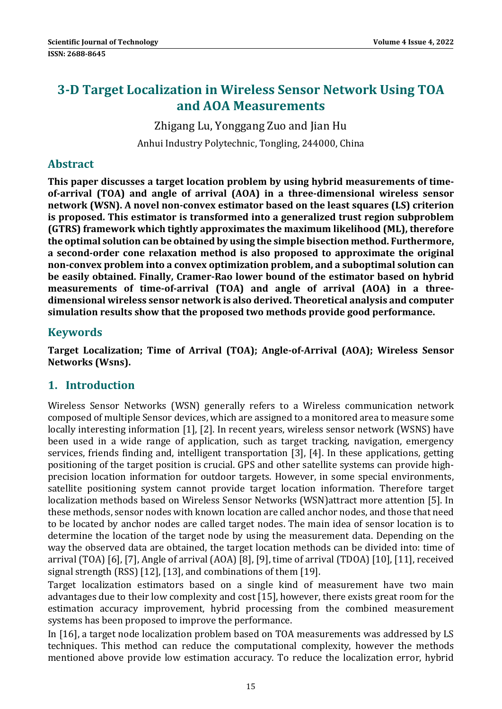# **3‐D Target Localization in Wireless Sensor Network Using TOA and AOA Measurements**

Zhigang Lu, Yonggang Zuo and Jian Hu Anhui Industry Polytechnic, Tongling, 244000, China

### **Abstract**

**This paper discusses a target location problem by using hybrid measurements of time‐ of‐arrival (TOA) and angle of arrival (AOA) in a three‐dimensional wireless sensor network (WSN). A novel non‐convex estimator based on the least squares (LS) criterion is proposed. This estimator is transformed into a generalized trust region subproblem (GTRS) framework which tightly approximates the maximum likelihood (ML), therefore the optimal solution can be obtained by using the simple bisection method. Furthermore, a second‐order cone relaxation method is also proposed to approximate the original non‐convex problem into a convex optimization problem, and a suboptimal solution can be easily obtained. Finally, Cramer‐Rao lower bound of the estimator based on hybrid measurements of time‐of‐arrival (TOA) and angle of arrival (AOA) in a three‐ dimensional wireless sensor network is also derived. Theoretical analysis and computer simulation results show that the proposed two methods provide good performance.**

### **Keywords**

**Target Localization; Time of Arrival (TOA); Angle‐of‐Arrival (AOA); Wireless Sensor Networks (Wsns).**

# **1. Introduction**

Wireless Sensor Networks (WSN) generally refers to a Wireless communication network composed of multiple Sensor devices, which are assigned to a monitored area to measure some locally interesting information [1], [2]. In recent years, wireless sensor network (WSNS) have been used in a wide range of application, such as target tracking, navigation, emergency services, friends finding and, intelligent transportation [3], [4]. In these applications, getting positioning of the target position is crucial. GPS and other satellite systems can provide highprecision location information for outdoor targets. However, in some special environments, satellite positioning system cannot provide target location information. Therefore target localization methods based on Wireless Sensor Networks (WSN)attract more attention [5]. In these methods, sensor nodes with known location are called anchor nodes, and those that need to be located by anchor nodes are called target nodes. The main idea of sensor location is to determine the location of the target node by using the measurement data. Depending on the way the observed data are obtained, the target location methods can be divided into: time of arrival  $(TOA)$  [6], [7], Angle of arrival  $(AOA)$  [8], [9], time of arrival  $(TDOA)$  [10], [11], received signal strength  $(RSS)$  [12], [13], and combinations of them [19].

Target localization estimators based on a single kind of measurement have two main advantages due to their low complexity and cost [15], however, there exists great room for the estimation accuracy improvement, hybrid processing from the combined measurement systems has been proposed to improve the performance.

In [16], a target node localization problem based on TOA measurements was addressed by LS techniques. This method can reduce the computational complexity, however the methods mentioned above provide low estimation accuracy. To reduce the localization error, hybrid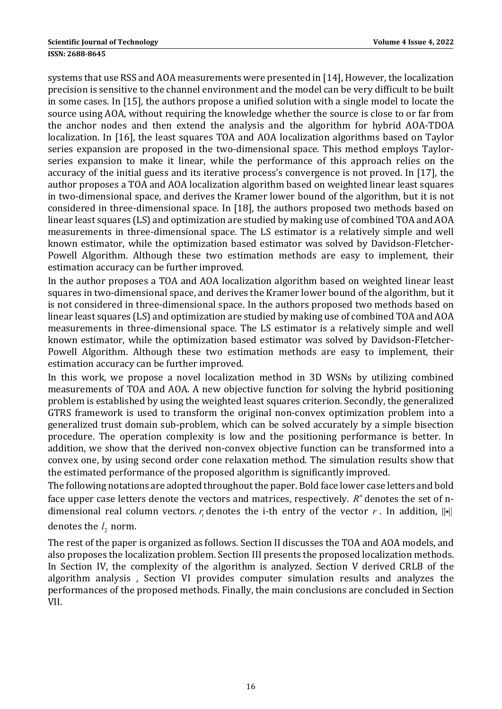systems that use RSS and AOA measurements were presented in [14], However, the localization precision is sensitive to the channel environment and the model can be very difficult to be built in some cases. In  $[15]$ , the authors propose a unified solution with a single model to locate the source using AOA, without requiring the knowledge whether the source is close to or far from the anchor nodes and then extend the analysis and the algorithm for hybrid AOA-TDOA localization. In [16], the least squares TOA and AOA localization algorithms based on Taylor series expansion are proposed in the two-dimensional space. This method employs Taylorseries expansion to make it linear, while the performance of this approach relies on the accuracy of the initial guess and its iterative process's convergence is not proved. In [17], the author proposes a TOA and AOA localization algorithm based on weighted linear least squares in two-dimensional space, and derives the Kramer lower bound of the algorithm, but it is not considered in three-dimensional space. In [18], the authors proposed two methods based on linear least squares (LS) and optimization are studied by making use of combined TOA and AOA measurements in three-dimensional space. The LS estimator is a relatively simple and well known estimator, while the optimization based estimator was solved by Davidson-Fletcher-Powell Algorithm. Although these two estimation methods are easy to implement, their estimation accuracy can be further improved.

In the author proposes a TOA and AOA localization algorithm based on weighted linear least squares in two-dimensional space, and derives the Kramer lower bound of the algorithm, but it is not considered in three-dimensional space. In the authors proposed two methods based on linear least squares  $(LS)$  and optimization are studied by making use of combined TOA and AOA measurements in three-dimensional space. The LS estimator is a relatively simple and well known estimator, while the optimization based estimator was solved by Davidson-Fletcher-Powell Algorithm. Although these two estimation methods are easy to implement, their estimation accuracy can be further improved.

In this work, we propose a novel localization method in 3D WSNs by utilizing combined measurements of TOA and AOA. A new objective function for solving the hybrid positioning problem is established by using the weighted least squares criterion. Secondly, the generalized GTRS framework is used to transform the original non-convex optimization problem into a generalized trust domain sub-problem, which can be solved accurately by a simple bisection procedure. The operation complexity is low and the positioning performance is better. In addition, we show that the derived non-convex objective function can be transformed into a convex one, by using second order cone relaxation method. The simulation results show that the estimated performance of the proposed algorithm is significantly improved.

The following notations are adopted throughout the paper. Bold face lower case letters and bold face upper case letters denote the vectors and matrices, respectively. *R*<sup>n</sup> denotes the set of ndimensional real column vectors. *r* denotes the i-th entry of the vector *r*. In addition,  $\|\cdot\|$ 

### denotes the  $l_2$  norm.

The rest of the paper is organized as follows. Section II discusses the TOA and AOA models, and also proposes the localization problem. Section III presents the proposed localization methods. In Section IV, the complexity of the algorithm is analyzed. Section V derived CRLB of the algorithm analysis, Section VI provides computer simulation results and analyzes the performances of the proposed methods. Finally, the main conclusions are concluded in Section VII.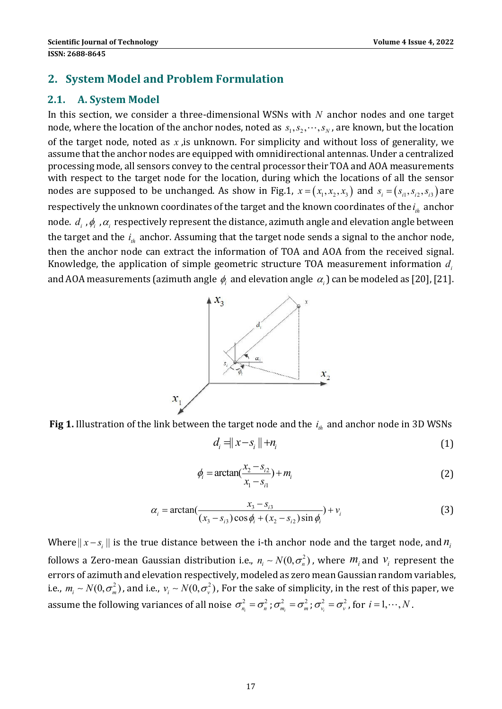### **2. System Model and Problem Formulation**

### **2.1. A. System Model**

In this section, we consider a three-dimensional WSNs with  $N$  anchor nodes and one target node, where the location of the anchor nodes, noted as  $s_1, s_2, \dots, s_N$ , are known, but the location of the target node, noted as  $x$ , is unknown. For simplicity and without loss of generality, we assume that the anchor nodes are equipped with omnidirectional antennas. Under a centralized processing mode, all sensors convey to the central processor their TOA and AOA measurements with respect to the target node for the location, during which the locations of all the sensor nodes are supposed to be unchanged. As show in Fig.1,  $x = (x_1, x_2, x_3)$  and  $s_i = (s_{i1}, s_{i2}, s_{i3})$  are respectively the unknown coordinates of the target and the known coordinates of the  $i_{th}$  anchor node.  $d_i$ ,  $\phi_i$ ,  $\alpha_i$  respectively represent the distance, azimuth angle and elevation angle between the target and the  $i<sub>th</sub>$  anchor. Assuming that the target node sends a signal to the anchor node, then the anchor node can extract the information of TOA and AOA from the received signal. Knowledge, the application of simple geometric structure TOA measurement information  $d_i$ and AOA measurements (azimuth angle  $\phi_i$  and elevation angle  $\alpha_i$ ) can be modeled as [20], [21].



**Fig 1.** Illustration of the link between the target node and the  $i_{th}$  and anchor node in 3D WSNs

$$
d_i = |x - s_i| + n_i \tag{1}
$$

$$
\phi_i = \arctan(\frac{x_2 - s_{i2}}{x_1 - s_{i1}}) + m_i
$$
\n(2)

$$
\alpha_i = \arctan(\frac{x_3 - s_{i3}}{(x_3 - s_{i3})\cos\phi_i + (x_2 - s_{i2})\sin\phi_i}) + v_i
$$
(3)

Where  $|| x - s_i ||$  is the true distance between the *i*-th anchor node and the target node, and  $n_i$ follows a Zero-mean Gaussian distribution i.e.,  $n_i \sim N(0, \sigma_n^2)$ , where  $m_i$  and  $v_i$  represent the errors of azimuth and elevation respectively, modeled as zero mean Gaussian random variables, i.e.,  $m_i \sim N(0, \sigma_m^2)$ , and i.e.,  $v_i \sim N(0, \sigma_v^2)$ , For the sake of simplicity, in the rest of this paper, we assume the following variances of all noise  $\sigma_{n_i}^2 = \sigma_n^2$ ;  $\sigma_{m_i}^2 = \sigma_m^2$ ;  $\sigma_{v_i}^2 = \sigma_v^2$ , for  $i = 1, \cdots, N$ .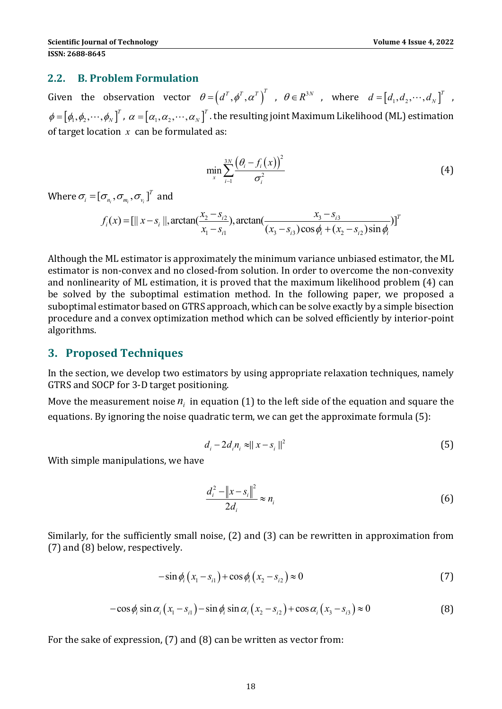#### **2.2. B. Problem Formulation**

Given the observation vector  $\theta = (d^T, \phi^T, \alpha^T)^T$  ,  $\theta \in R^{3N}$  , where  $d = [d_1, d_2, \cdots, d_N]^T$  ,  $\phi = [\phi_1, \phi_2, \cdots, \phi_N]^T$ ,  $\alpha = [\alpha_1, \alpha_2, \cdots, \alpha_N]^T$ . the resulting joint Maximum Likelihood (ML) estimation of target location  $x$  can be formulated as:

$$
\min_{x} \sum_{i=1}^{3N} \frac{\left(\theta_i - f_i(x)\right)^2}{\sigma_i^2} \tag{4}
$$

Where  $\sigma_i = [\sigma_{n_i}, \sigma_{n_i}, \sigma_{v_i}]^T$  and

 $2 \frac{3}{2}$  order  $\frac{\lambda_3}{3}$  $(x) = \left[ ||x - s_i||, \arctan(\frac{x_2 - s_{i2}}{x_1 - s_{i1}}), \arctan(\frac{x_3 - s_{i3}}{(x_3 - s_{i3})\cos\phi_i + (x_2 - s_{i2})\sin\phi_i}) \right]^T$  $i^{(\mathcal{M})}$  – L $\mathcal{N}$ <sup>-5</sup>i *i*  $(\lambda_3, \lambda_1)$   $(\lambda_2, \lambda_2)$   $(\lambda_3, \lambda_1)$   $(\lambda_2, \lambda_1)$   $(\lambda_2, \lambda_2)$   $(\lambda_1, \lambda_2)$  $f_i(x) = \frac{[||x - s_i||, \arctan(\frac{x_2 - s_{i2}}{2}), \arctan(\frac{x_3 - s_{i2}}{2})]}{[||x - s_i||, \arctan(\frac{x_3 - s_{i2}}{2})]}$  $=\left[||x-s_i||, \arctan(\frac{x_2-s_{i2}}{x_1-s_{i1}}), \arctan(\frac{x_3-s_{i3}}{(x_3-s_{i3})\cos\phi_i+(x_2-s_{i2})\sin\phi_i} \right]$ 

Although the ML estimator is approximately the minimum variance unbiased estimator, the ML estimator is non-convex and no closed-from solution. In order to overcome the non-convexity and nonlinearity of ML estimation, it is proved that the maximum likelihood problem (4) can be solved by the suboptimal estimation method. In the following paper, we proposed a suboptimal estimator based on GTRS approach, which can be solve exactly by a simple bisection procedure and a convex optimization method which can be solved efficiently by interior-point algorithms. 

#### **3. Proposed Techniques**

In the section, we develop two estimators by using appropriate relaxation techniques, namely GTRS and SOCP for 3-D target positioning.

Move the measurement noise  $n_i$  in equation (1) to the left side of the equation and square the equations. By ignoring the noise quadratic term, we can get the approximate formula (5):

$$
d_i - 2d_i n_i \approx ||x - s_i||^2
$$
 (5)

With simple manipulations, we have

$$
\frac{d_i^2 - \|x - s_i\|^2}{2d_i} \approx n_i
$$
 (6)

Similarly, for the sufficiently small noise,  $(2)$  and  $(3)$  can be rewritten in approximation from  $(7)$  and  $(8)$  below, respectively.

$$
-\sin \phi_i (x_1 - s_{i1}) + \cos \phi_i (x_2 - s_{i2}) \approx 0
$$
\n(7)

$$
-\cos\phi_i \sin\alpha_i (x_1 - s_{i1}) - \sin\phi_i \sin\alpha_i (x_2 - s_{i2}) + \cos\alpha_i (x_3 - s_{i3}) \approx 0
$$
\n(8)

For the sake of expression,  $(7)$  and  $(8)$  can be written as vector from: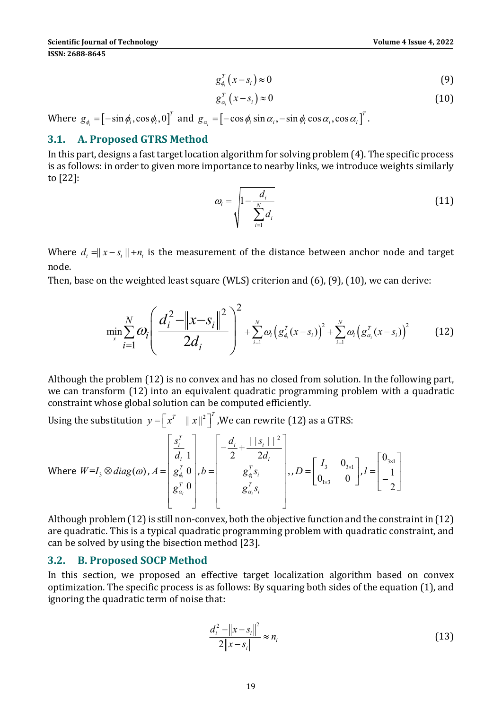$$
g_{\phi_i}^T(x-s_i) \approx 0 \tag{9}
$$

$$
g_{\alpha_i}^T(x-s_i) \approx 0 \tag{10}
$$

Where  $g_{\phi_i} = [-\sin \phi_i, \cos \phi_i, 0]^T$  and  $g_{\alpha_i} = [-\cos \phi_i \sin \alpha_i, -\sin \phi_i \cos \alpha_i, \cos \alpha_i]^T$ .

### **3.1. A. Proposed GTRS Method**

In this part, designs a fast target location algorithm for solving problem  $(4)$ . The specific process is as follows: in order to given more importance to nearby links, we introduce weights similarly to  $[22]$ :

$$
\omega_i = \sqrt{1 - \frac{d_i}{\sum_{i=1}^N d_i}}
$$
\n(11)

Where  $d_i = ||x - s_i|| + n_i$  is the measurement of the distance between anchor node and target node. 

Then, base on the weighted least square (WLS) criterion and  $(6)$ ,  $(9)$ ,  $(10)$ , we can derive:

$$
\min_{x} \sum_{i=1}^{N} \omega_{i} \left( \frac{d_{i}^{2} - \|x - s_{i}\|^{2}}{2d_{i}} \right)^{2} + \sum_{i=1}^{N} \omega_{i} \left( g_{\phi_{i}}^{T}(x - s_{i}) \right)^{2} + \sum_{i=1}^{N} \omega_{i} \left( g_{\alpha_{i}}^{T}(x - s_{i}) \right)^{2}
$$
(12)

Although the problem  $(12)$  is no convex and has no closed from solution. In the following part, we can transform (12) into an equivalent quadratic programming problem with a quadratic constraint whose global solution can be computed efficiently.

Using the substitution  $y = \begin{bmatrix} x^T & ||x||^2 \end{bmatrix}^T$ , We can rewrite (12) as a GTRS:

Where 
$$
W=I_3 \otimes diag(\omega), A = \begin{bmatrix} S_i^T \ d_i & 1 \ g_{\phi_i}^T & 0 \ g_{\phi_i}^T & 0 \ g_{\phi_i}^T & 0 \ g_{\phi_i}^T & 0 \ g_{\phi_i}^T & 0 \ g_{\phi_i}^T & 0 \ g_{\phi_i}^T & 0 \ g_{\phi_i}^T & 0 \ g_{\phi_i}^T & 0 \ g_{\phi_i}^T & 0 \ g_{\phi_i}^T & 0 \ g_{\phi_i}^T & 0 \ g_{\phi_i}^T & 0 \ g_{\phi_i}^T & 0 \ g_{\phi_i}^T & 0 \ g_{\phi_i}^T & 0 \ g_{\phi_i}^T & 0 \ g_{\phi_i}^T & 0 \ g_{\phi_i}^T & 0 \ g_{\phi_i}^T & 0 \ g_{\phi_i}^T & 0 \ g_{\phi_i}^T & 0 \ g_{\phi_i}^T & 0 \ g_{\phi_i}^T & 0 \ g_{\phi_i}^T & 0 \ g_{\phi_i}^T & 0 \ g_{\phi_i}^T & 0 \ g_{\phi_i}^T & 0 \ g_{\phi_i}^T & 0 \ g_{\phi_i}^T & 0 \ g_{\phi_i}^T & 0 \ g_{\phi_i}^T & 0 \ g_{\phi_i}^T & 0 \ g_{\phi_i}^T & 0 \ g_{\phi_i}^T & 0 \ g_{\phi_i}^T & 0 \ g_{\phi_i}^T & 0 \ g_{\phi_i}^T & 0 \ g_{\phi_i}^T & 0 \ g_{\phi_i}^T & 0 \ g_{\phi_i}^T & 0 \ g_{\phi_i}^T & 0 \ g_{\phi_i}^T & 0 \ g_{\phi_i}^T & 0 \ g_{\phi_i}^T & 0 \ g_{\phi_i}^T & 0 \ g_{\phi_i}^T & 0 \ g_{\phi_i}^T & 0 \ g_{\phi_i}^T & 0 \ g_{\phi_i}^T & 0 \ g_{\phi_i}^T & 0 \ g_{\phi_i}^T & 0 \ g_{\phi_i}^T & 0 \ g_{\phi_i}^T & 0 \ g_{\phi_i}^T & 0 \ g_{\phi_i}^T & 0 \ g_{\phi_i}^T & 0 \ g_{\phi_i}^T & 0 \ g_{\phi_i}^T & 0 \ g_{\phi_i}^T & 0 \ g_{\phi_i}^T &
$$

Although problem  $(12)$  is still non-convex, both the objective function and the constraint in  $(12)$ are quadratic. This is a typical quadratic programming problem with quadratic constraint, and can be solved by using the bisection method [23].

#### **3.2. B. Proposed SOCP Method**

In this section, we proposed an effective target localization algorithm based on convex optimization. The specific process is as follows: By squaring both sides of the equation (1), and ignoring the quadratic term of noise that:

$$
\frac{d_i^2 - \|x - s_i\|^2}{2\|x - s_i\|} \approx n_i
$$
\n(13)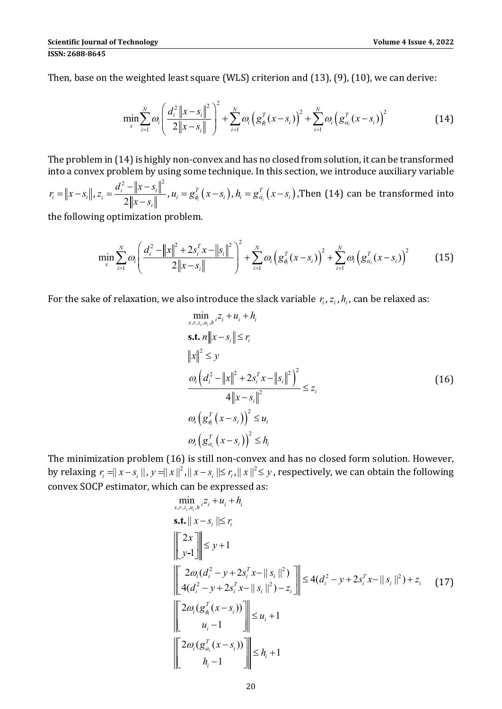Then, base on the weighted least square (WLS) criterion and  $(13)$ ,  $(9)$ ,  $(10)$ , we can derive:

$$
\min_{x} \sum_{i=1}^{N} \omega_{i} \left( \frac{d_{i}^{2} \|x - s_{i}\|^{2}}{2\|x - s_{i}\|} \right)^{2} + \sum_{i=1}^{N} \omega_{i} \left( g_{\phi_{i}}^{T}(x - s_{i}) \right)^{2} + \sum_{i=1}^{N} \omega_{i} \left( g_{\alpha_{i}}^{T}(x - s_{i}) \right)^{2}
$$
(14)

The problem in  $(14)$  is highly non-convex and has no closed from solution, it can be transformed into a convex problem by using some technique. In this section, we introduce auxiliary variable

 $r_i = ||x - s_i||$ , 2  $\| \cdot \|_{2}$   $\| \cdot \|^2$ 2 *i*  $\| \cdot \|$   $\rightarrow$  *i i i*  $d_i^2 - ||x - s$ *z*  $x = \frac{d_i^2 - ||x - s_i||^2}{2||x - s_i||}$ ,  $u_i = g_{\phi_i}^T(x - s_i)$ ,  $h_i = g_{\alpha_i}^T(x - s_i)$ , Then (14) can be transformed into

the following optimization problem.

$$
\min_{x} \sum_{i=1}^{N} \omega_{i} \left( \frac{d_{i}^{2} - \|x\|^{2} + 2s_{i}^{T} x - \|s_{i}\|^{2}}{2\|x - s_{i}\|} \right)^{2} + \sum_{i=1}^{N} \omega_{i} \left( g_{\phi_{i}}^{T} (x - s_{i}) \right)^{2} + \sum_{i=1}^{N} \omega_{i} \left( g_{\alpha_{i}}^{T} (x - s_{i}) \right)^{2} \tag{15}
$$

For the sake of relaxation, we also introduce the slack variable  $r_i$ ,  $z_i$ ,  $h_i$ , can be relaxed as:

$$
\min_{x,r,z_i,u_i,h} z_i + u_i + h_i
$$
\n  
\n**s.t.**  $n ||x - s_i|| \le r_i$   
\n
$$
||x||^2 \le y
$$
\n
$$
\frac{\omega_i (d_i^2 - ||x||^2 + 2s_i^T x - ||s_i||^2)^2}{4 ||x - s_i||^2} \le z_i
$$
\n
$$
\omega_i (g_{\phi_i}^T (x - s_i))^2 \le u_i
$$
\n
$$
\omega_i (g_{\alpha_i}^T (x - s_i))^2 \le h_i
$$
\n(16)

The minimization problem (16) is still non-convex and has no closed form solution. However, by relaxing  $r_i = ||x - s_i||$ ,  $y = ||x||^2$ ,  $||x - s_i|| \leq r_i$ ,  $||x||^2 \leq y$ , respectively, we can obtain the following convex SOCP estimator, which can be expressed as:

$$
\min_{x, r, z_i, u_i, h} z_i + u_i + h_i
$$
\n**s.t.**  $||x - s_i|| \le r_i$   
\n
$$
||\sum_{y-1}^{2x} || \le y + 1
$$
\n
$$
||\sum_{i=1}^{2\omega_i} (d_i^2 - y + 2s_i^T x - ||s_i||^2) || \le 4(d_i^2 - y + 2s_i^T x - ||s_i||^2) + z_i
$$
\n
$$
||\sum_{i=1}^{2\omega_i} (g_{\phi_i}^T (x - s_i)) || \le u_i + 1
$$
\n
$$
||\sum_{i=1}^{2\omega_i} (g_{\phi_i}^T (x - s_i)) || \le u_i + 1
$$
\n
$$
||\sum_{i=1}^{2\omega_i} (g_{\alpha_i}^T (x - s_i)) || \le h_i + 1
$$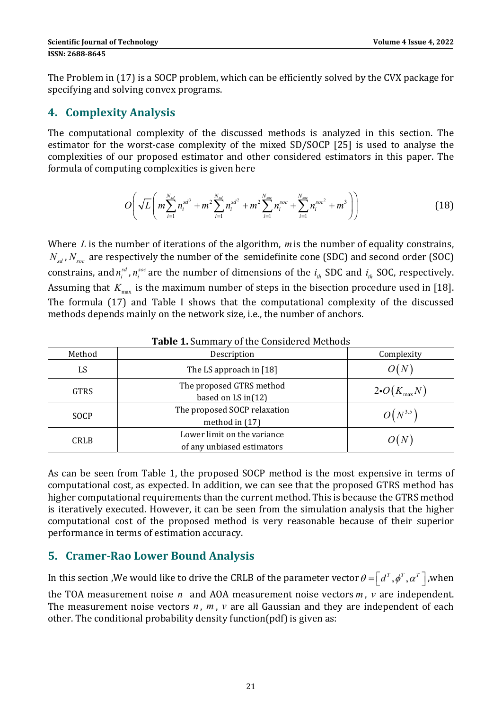The Problem in (17) is a SOCP problem, which can be efficiently solved by the CVX package for specifying and solving convex programs.

# **4. Complexity Analysis**

The computational complexity of the discussed methods is analyzed in this section. The estimator for the worst-case complexity of the mixed SD/SOCP [25] is used to analyse the complexities of our proposed estimator and other considered estimators in this paper. The formula of computing complexities is given here

$$
O\left(\sqrt{L}\left(m\sum_{i=1}^{N_{sd}}n_i^{sd^3} + m^2\sum_{i=1}^{N_{sd}}n_i^{sd^2} + m^2\sum_{i=1}^{N_{soc}}n_i^{soc} + \sum_{i=1}^{N_{soc}}n_i^{soc^2} + m^3\right)\right)
$$
(18)

Where  *is the number of iterations of the algorithm,*  $*m*$  *is the number of equality constrains,*  $N_{sd}$ ,  $N_{soc}$  are respectively the number of the semidefinite cone (SDC) and second order (SOC) constrains, and  $n_i^{sd}$ ,  $n_i^{soc}$  are the number of dimensions of the  $i_{th}$  SDC and  $i_{th}$  SOC, respectively. Assuming that  $K_{\text{max}}$  is the maximum number of steps in the bisection procedure used in [18]. The formula (17) and Table I shows that the computational complexity of the discussed methods depends mainly on the network size, i.e., the number of anchors.

| Method      | Description                                               | Complexity              |
|-------------|-----------------------------------------------------------|-------------------------|
| LS          | The LS approach in [18]                                   |                         |
| <b>GTRS</b> | The proposed GTRS method<br>based on LS in $(12)$         | $2\bullet O(K_{\max}N)$ |
| <b>SOCP</b> | The proposed SOCP relaxation<br>method in (17)            | $O(N^{3.5})$            |
| <b>CRLB</b> | Lower limit on the variance<br>of any unbiased estimators |                         |

**Table 1.** Summary of the Considered Methods

As can be seen from Table 1, the proposed SOCP method is the most expensive in terms of computational cost, as expected. In addition, we can see that the proposed GTRS method has higher computational requirements than the current method. This is because the GTRS method is iteratively executed. However, it can be seen from the simulation analysis that the higher computational cost of the proposed method is very reasonable because of their superior performance in terms of estimation accuracy.

# **5. Cramer‐Rao Lower Bound Analysis**

In this section , We would like to drive the CRLB of the parameter vector  $\theta = \int d^T$ ,  $\phi^T$ ,  $\alpha^T$ , when the TOA measurement noise  $n$  and AOA measurement noise vectors  $m$ ,  $v$  are independent. The measurement noise vectors  $n$ ,  $m$ ,  $v$  are all Gaussian and they are independent of each other. The conditional probability density function(pdf) is given as: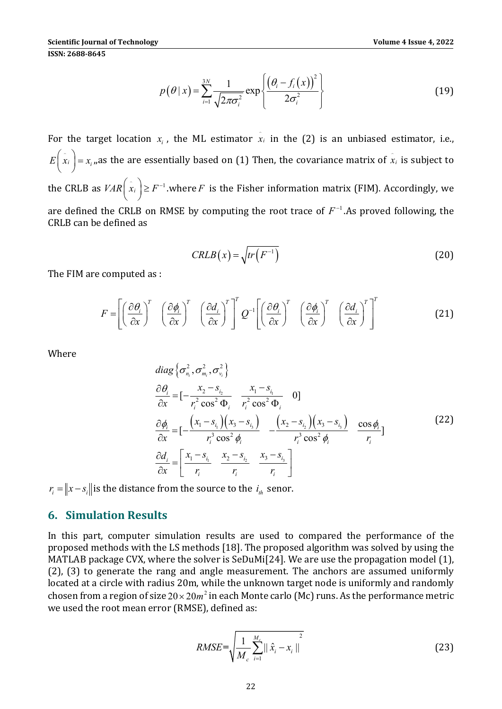$(\theta | x) = \sum_{i=1}^{3N} \frac{1}{\sqrt{2\pi}} \exp \left\{ \frac{(\theta_i - f_i(x))^2}{2\sqrt{2\pi}} \right\}$  $\frac{1}{2} \sqrt{2\pi \sigma_i^2}$   $2\sigma_i^2$  $|x| = \sum_{n=1}^{3N} \frac{1}{\sqrt{n}}$  exp  $2\pi\sigma_i^2$  2  $\frac{N}{C}$  1  $\left| \theta_i - f_i \right|$ *i*=1  $\sqrt{2\pi\sigma_i}$   $\qquad$   $2\sigma_i$ *f x*  $p(\theta | x)$  $\theta$  $\theta$  $=\sum_{i=1}^{3N}\frac{1}{\sqrt{2\pi\sigma_i^2}}\exp\left\{\frac{\left(\theta_i-f_i(x)\right)^2}{2\sigma_i^2}\right\}$  $\sum \frac{1}{\sqrt{2}} \exp \left\{ \frac{(v_i - v_i(x))}{2\sigma^2} \right\}$  (19)

For the target location  $x_i$ , the ML estimator  $\hat{x}_i$  in the (2) is an unbiased estimator, i.e.,  $E\left(\hat{x}_i\right) = x_i$ , as the are essentially based on (1) Then, the covariance matrix of  $\hat{x}_i$  is subject to the CRLB as  $VAR\left(\hat{x}_i\right) \geq F^{-1}$  where *F* is the Fisher information matrix (FIM). Accordingly, we are defined the CRLB on RMSE by computing the root trace of  $F^{-1}$ . As proved following, the CRLB can be defined as

$$
CRLB(x) = \sqrt{tr(F^{-1})}
$$
 (20)

The FIM are computed as :

$$
F = \left[ \left( \frac{\partial \theta_i}{\partial x} \right)^T \left( \frac{\partial \phi_i}{\partial x} \right)^T \left( \frac{\partial d_i}{\partial x} \right)^T \right]^T Q^{-1} \left[ \left( \frac{\partial \theta_i}{\partial x} \right)^T \left( \frac{\partial \phi_i}{\partial x} \right)^T \left( \frac{\partial d_i}{\partial x} \right)^T \right]^T
$$
(21)

Where

$$
diag\left\{\sigma_{n_i}^2, \sigma_{m_i}^2, \sigma_{v_i}^2\right\}
$$
\n
$$
\frac{\partial \theta_i}{\partial x} = \left[-\frac{x_2 - s_{i_2}}{r_i^2 \cos^2 \Phi_i} - \frac{x_1 - s_{i_1}}{r_i^2 \cos^2 \Phi_i} - 0\right]
$$
\n
$$
\frac{\partial \phi_i}{\partial x} = \left[-\frac{\left(x_1 - s_{i_1}\right)\left(x_3 - s_{i_2}\right)}{r_i^3 \cos^2 \phi_i} - \frac{\left(x_2 - s_{i_2}\right)\left(x_3 - s_{i_3}\right)}{r_i^3 \cos^2 \phi_i} - \frac{\cos \phi_i}{r_i}\right]
$$
\n
$$
\frac{\partial d_i}{\partial x} = \left[\frac{x_1 - s_{i_1}}{r_i} - \frac{x_2 - s_{i_2}}{r_i} - \frac{x_3 - s_{i_3}}{r_i}\right]
$$
\n(22)

 $r_i = ||x - s_i||$  is the distance from the source to the  $i_h$  senor.

### **6. Simulation Results**

In this part, computer simulation results are used to compared the performance of the proposed methods with the LS methods [18]. The proposed algorithm was solved by using the MATLAB package CVX, where the solver is SeDuMi[24]. We are use the propagation model  $(1)$ ,  $(2)$ ,  $(3)$  to generate the rang and angle measurement. The anchors are assumed uniformly located at a circle with radius 20m, while the unknown target node is uniformly and randomly chosen from a region of size  $20 \times 20 m^2$  in each Monte carlo (Mc) runs. As the performance metric we used the root mean error (RMSE), defined as:

$$
RMSE = \sqrt{\frac{1}{M_c} \sum_{i=1}^{M_c} ||\hat{x}_i - x_i||^2}
$$
 (23)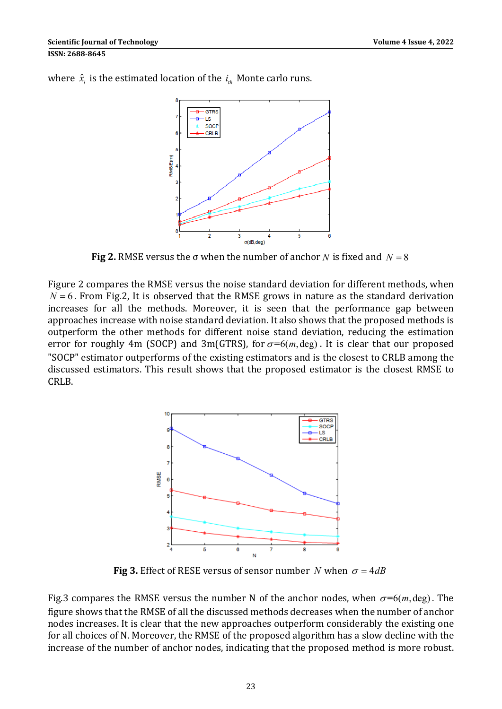

where  $\hat{x}_i$  is the estimated location of the  $i_{th}$  Monte carlo runs.

**Fig 2.** RMSE versus the  $\sigma$  when the number of anchor *N* is fixed and  $N = 8$ 

Figure 2 compares the RMSE versus the noise standard deviation for different methods, when  $N = 6$ . From Fig.2, It is observed that the RMSE grows in nature as the standard derivation increases for all the methods. Moreover, it is seen that the performance gap between approaches increase with noise standard deviation. It also shows that the proposed methods is outperform the other methods for different noise stand deviation, reducing the estimation error for roughly 4m (SOCP) and 3m(GTRS), for  $\sigma$ =6(m, deg). It is clear that our proposed "SOCP" estimator outperforms of the existing estimators and is the closest to CRLB among the discussed estimators. This result shows that the proposed estimator is the closest RMSE to CRLB. 



**Fig** 3. Effect of RESE versus of sensor number *N* when  $\sigma = 4dB$ 

Fig.3 compares the RMSE versus the number N of the anchor nodes, when  $\sigma = 6(m, \text{deg})$ . The figure shows that the RMSE of all the discussed methods decreases when the number of anchor nodes increases. It is clear that the new approaches outperform considerably the existing one for all choices of N. Moreover, the RMSE of the proposed algorithm has a slow decline with the increase of the number of anchor nodes, indicating that the proposed method is more robust.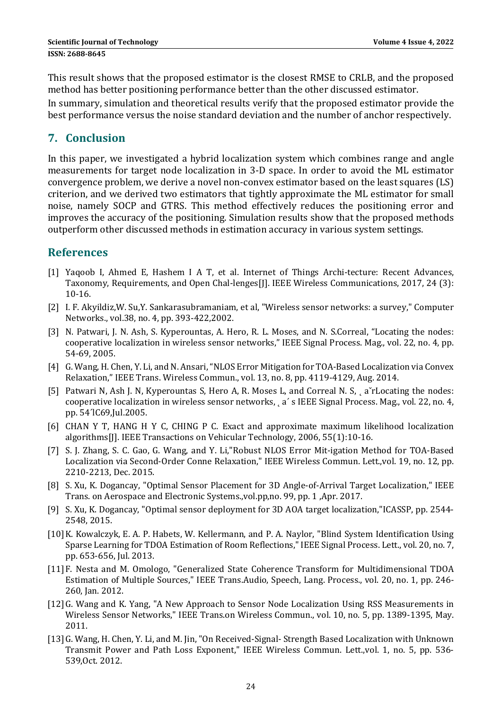This result shows that the proposed estimator is the closest RMSE to CRLB, and the proposed method has better positioning performance better than the other discussed estimator.

In summary, simulation and theoretical results verify that the proposed estimator provide the best performance versus the noise standard deviation and the number of anchor respectively.

# **7. Conclusion**

In this paper, we investigated a hybrid localization system which combines range and angle measurements for target node localization in 3-D space. In order to avoid the ML estimator convergence problem, we derive a novel non-convex estimator based on the least squares (LS) criterion, and we derived two estimators that tightly approximate the ML estimator for small noise, namely SOCP and GTRS. This method effectively reduces the positioning error and improves the accuracy of the positioning. Simulation results show that the proposed methods outperform other discussed methods in estimation accuracy in various system settings.

# **References**

- [1] Yaqoob I, Ahmed E, Hashem I A T, et al. Internet of Things Archi-tecture: Recent Advances, Taxonomy, Requirements, and Open Chal-lenges[J]. IEEE Wireless Communications, 2017, 24 (3): 10‐16.
- [2] I. F. Akyildiz, W. Su, Y. Sankarasubramaniam, et al, "Wireless sensor networks: a survey," Computer Networks., vol.38, no. 4, pp. 393-422,2002.
- [3] N. Patwari, J. N. Ash, S. Kyperountas, A. Hero, R. L. Moses, and N. S.Correal, "Locating the nodes: cooperative localization in wireless sensor networks," IEEE Signal Process. Mag., vol. 22, no. 4, pp. 54‐69, 2005.
- [4] G. Wang, H. Chen, Y. Li, and N. Ansari, "NLOS Error Mitigation for TOA-Based Localization via Convex Relaxation," IEEE Trans. Wireless Commun., vol. 13, no. 8, pp. 4119-4129, Aug. 2014.
- [5] Patwari N, Ash J. N, Kyperountas S, Hero A, R. Moses L, and Correal N. S, a<sup>x</sup>rLocating the nodes: cooperative localization in wireless sensor networks, a' s IEEE Signal Process. Mag., vol. 22, no. 4, pp. 54´lC69,Jul.2005.
- [6] CHAN Y T, HANG H Y C, CHING P C. Exact and approximate maximum likelihood localization algorithms[J]. IEEE Transactions on Vehicular Technology, 2006, 55(1):10-16.
- [7] S. J. Zhang, S. C. Gao, G. Wang, and Y. Li,"Robust NLOS Error Mit-igation Method for TOA-Based Localization via Second-Order Conne Relaxation," IEEE Wireless Commun. Lett.,vol. 19, no. 12, pp. 2210-2213, Dec. 2015.
- [8] S. Xu, K. Dogancay, "Optimal Sensor Placement for 3D Angle-of-Arrival Target Localization," IEEE Trans. on Aerospace and Electronic Systems.,vol.pp,no. 99, pp. 1, Apr. 2017.
- [9] S. Xu, K. Dogancay, "Optimal sensor deployment for 3D AOA target localization,"ICASSP, pp. 2544-2548, 2015.
- [10] K. Kowalczyk, E. A. P. Habets, W. Kellermann, and P. A. Naylor, "Blind System Identification Using Sparse Learning for TDOA Estimation of Room Reflections," IEEE Signal Process. Lett., vol. 20, no. 7, pp. 653‐656, Jul. 2013.
- [11] F. Nesta and M. Omologo, "Generalized State Coherence Transform for Multidimensional TDOA Estimation of Multiple Sources," IEEE Trans.Audio, Speech, Lang. Process., vol. 20, no. 1, pp. 246-260, Jan. 2012.
- [12] G. Wang and K. Yang, "A New Approach to Sensor Node Localization Using RSS Measurements in Wireless Sensor Networks," IEEE Trans.on Wireless Commun., vol. 10, no. 5, pp. 1389-1395, May. 2011.
- [13] G. Wang, H. Chen, Y. Li, and M. Jin, "On Received-Signal- Strength Based Localization with Unknown Transmit Power and Path Loss Exponent," IEEE Wireless Commun. Lett.,vol. 1, no. 5, pp. 536-539, Oct. 2012.